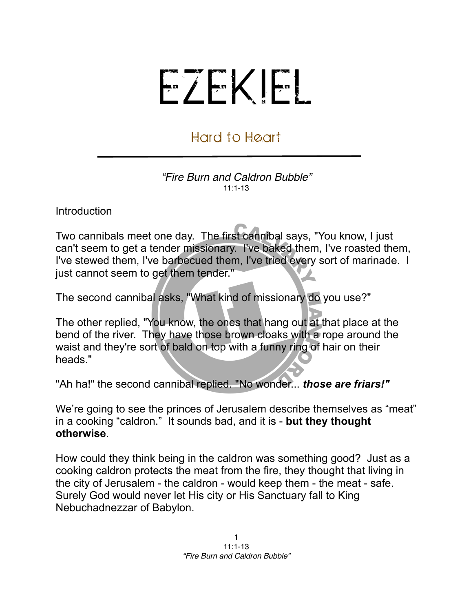## EZEKIEL

## Hard to Heart

*"Fire Burn and Caldron Bubble"* 11:1-13

Introduction

Two cannibals meet one day. The first cannibal says, "You know, I just can't seem to get a tender missionary. I've baked them, I've roasted them, I've stewed them, I've barbecued them, I've tried every sort of marinade. I just cannot seem to get them tender."

The second cannibal asks, "What kind of missionary do you use?"

The other replied, "You know, the ones that hang out at that place at the bend of the river. They have those brown cloaks with a rope around the waist and they're sort of bald on top with a funny ring of hair on their heads."

"Ah ha!" the second cannibal replied. "No wonder... *those are friars!"*

We're going to see the princes of Jerusalem describe themselves as "meat" in a cooking "caldron." It sounds bad, and it is - **but they thought otherwise**.

How could they think being in the caldron was something good? Just as a cooking caldron protects the meat from the fire, they thought that living in the city of Jerusalem - the caldron - would keep them - the meat - safe. Surely God would never let His city or His Sanctuary fall to King Nebuchadnezzar of Babylon.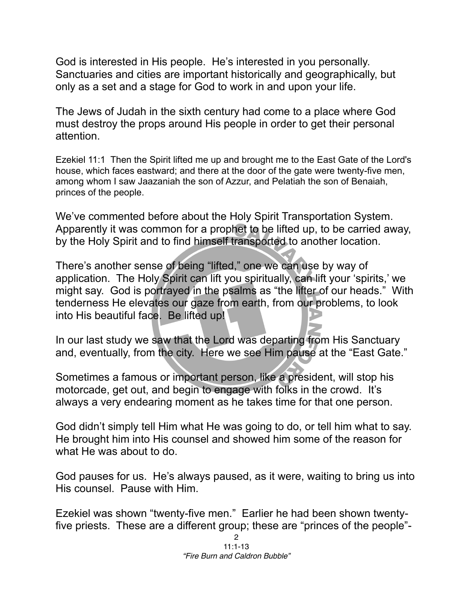God is interested in His people. He's interested in you personally. Sanctuaries and cities are important historically and geographically, but only as a set and a stage for God to work in and upon your life.

The Jews of Judah in the sixth century had come to a place where God must destroy the props around His people in order to get their personal attention.

Ezekiel 11:1 Then the Spirit lifted me up and brought me to the East Gate of the Lord's house, which faces eastward; and there at the door of the gate were twenty-five men, among whom I saw Jaazaniah the son of Azzur, and Pelatiah the son of Benaiah, princes of the people.

We've commented before about the Holy Spirit Transportation System. Apparently it was common for a prophet to be lifted up, to be carried away, by the Holy Spirit and to find himself transported to another location.

There's another sense of being "lifted," one we can use by way of application. The Holy Spirit can lift you spiritually, can lift your 'spirits,' we might say. God is portrayed in the psalms as "the lifter of our heads." With tenderness He elevates our gaze from earth, from our problems, to look into His beautiful face. Be lifted up!

In our last study we saw that the Lord was departing from His Sanctuary and, eventually, from the city. Here we see Him pause at the "East Gate."

Sometimes a famous or important person, like a president, will stop his motorcade, get out, and begin to engage with folks in the crowd. It's always a very endearing moment as he takes time for that one person.

God didn't simply tell Him what He was going to do, or tell him what to say. He brought him into His counsel and showed him some of the reason for what He was about to do.

God pauses for us. He's always paused, as it were, waiting to bring us into His counsel. Pause with Him.

Ezekiel was shown "twenty-five men." Earlier he had been shown twentyfive priests. These are a different group; these are "princes of the people"-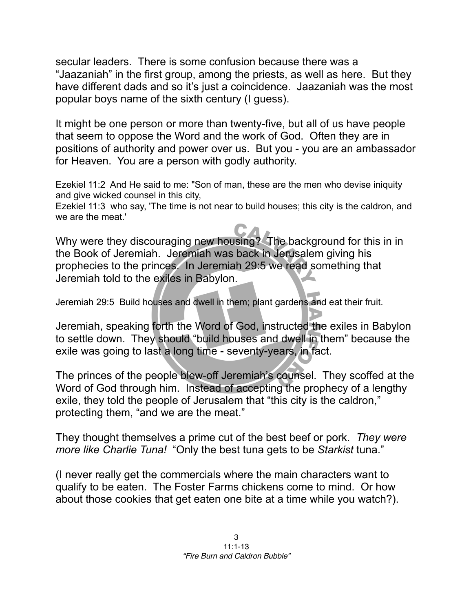secular leaders. There is some confusion because there was a "Jaazaniah" in the first group, among the priests, as well as here. But they have different dads and so it's just a coincidence. Jaazaniah was the most popular boys name of the sixth century (I guess).

It might be one person or more than twenty-five, but all of us have people that seem to oppose the Word and the work of God. Often they are in positions of authority and power over us. But you - you are an ambassador for Heaven. You are a person with godly authority.

Ezekiel 11:2 And He said to me: "Son of man, these are the men who devise iniquity and give wicked counsel in this city,

Ezekiel 11:3 who say, 'The time is not near to build houses; this city is the caldron, and we are the meat.'

Why were they discouraging new housing? The background for this in in the Book of Jeremiah. Jeremiah was back in Jerusalem giving his prophecies to the princes. In Jeremiah 29:5 we read something that Jeremiah told to the exiles in Babylon.

Jeremiah 29:5 Build houses and dwell in them; plant gardens and eat their fruit.

Jeremiah, speaking forth the Word of God, instructed the exiles in Babylon to settle down. They should "build houses and dwell in them" because the exile was going to last a long time - seventy-years, in fact.

The princes of the people blew-off Jeremiah's counsel. They scoffed at the Word of God through him. Instead of accepting the prophecy of a lengthy exile, they told the people of Jerusalem that "this city is the caldron," protecting them, "and we are the meat."

They thought themselves a prime cut of the best beef or pork. *They were more like Charlie Tuna!* "Only the best tuna gets to be *Starkist* tuna."

(I never really get the commercials where the main characters want to qualify to be eaten. The Foster Farms chickens come to mind. Or how about those cookies that get eaten one bite at a time while you watch?).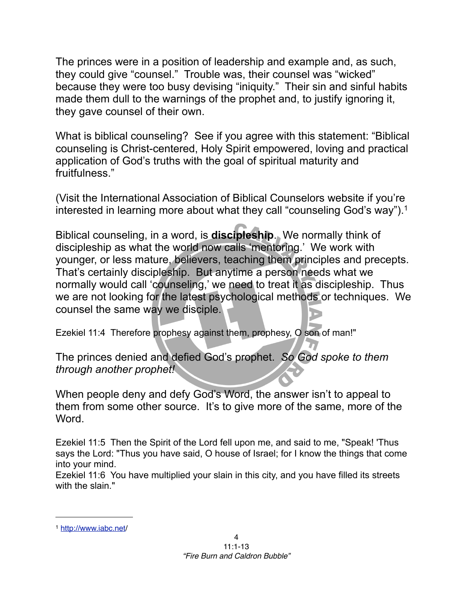The princes were in a position of leadership and example and, as such, they could give "counsel." Trouble was, their counsel was "wicked" because they were too busy devising "iniquity." Their sin and sinful habits made them dull to the warnings of the prophet and, to justify ignoring it, they gave counsel of their own.

What is biblical counseling? See if you agree with this statement: "Biblical counseling is Christ-centered, Holy Spirit empowered, loving and practical application of God's truths with the goal of spiritual maturity and fruitfulness."

(Visit the International Association of Biblical Counselors website if you're interested in learning more about what they call "counseling God's way").<sup>1</sup>

Biblical counseling, in a word, is **discipleship**. We normally think of discipleship as what the world now calls 'mentoring.' We work with younger, or less mature, believers, teaching them principles and precepts. That's certainly discipleship. But anytime a person needs what we normally would call 'counseling,' we need to treat it as discipleship. Thus we are not looking for the latest psychological methods or techniques. We counsel the same way we disciple.

Ezekiel 11:4 Therefore prophesy against them, prophesy, O son of man!"

The princes denied and defied God's prophet. *So God spoke to them through another prophet!*

When people deny and defy God's Word, the answer isn't to appeal to them from some other source. It's to give more of the same, more of the Word.

Ezekiel 11:5 Then the Spirit of the Lord fell upon me, and said to me, "Speak! 'Thus says the Lord: "Thus you have said, O house of Israel; for I know the things that come into your mind.

Ezekiel 11:6 You have multiplied your slain in this city, and you have filled its streets with the slain."

<span id="page-3-0"></span><sup>1</sup> <http://www.iabc.net>/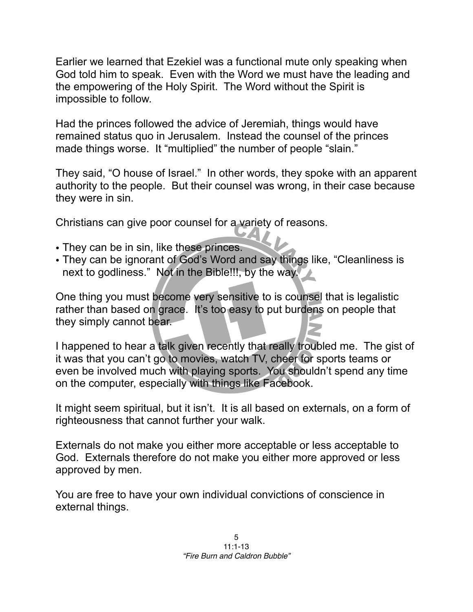Earlier we learned that Ezekiel was a functional mute only speaking when God told him to speak. Even with the Word we must have the leading and the empowering of the Holy Spirit. The Word without the Spirit is impossible to follow.

Had the princes followed the advice of Jeremiah, things would have remained status quo in Jerusalem. Instead the counsel of the princes made things worse. It "multiplied" the number of people "slain."

They said, "O house of Israel." In other words, they spoke with an apparent authority to the people. But their counsel was wrong, in their case because they were in sin.

Christians can give poor counsel for a variety of reasons.

- They can be in sin, like these princes.
- They can be ignorant of God's Word and say things like, "Cleanliness is next to godliness." Not in the Bible!!!, by the way.

One thing you must become very sensitive to is counsel that is legalistic rather than based on grace. It's too easy to put burdens on people that they simply cannot bear.

I happened to hear a talk given recently that really troubled me. The gist of it was that you can't go to movies, watch TV, cheer for sports teams or even be involved much with playing sports. You shouldn't spend any time on the computer, especially with things like Facebook.

It might seem spiritual, but it isn't. It is all based on externals, on a form of righteousness that cannot further your walk.

Externals do not make you either more acceptable or less acceptable to God. Externals therefore do not make you either more approved or less approved by men.

You are free to have your own individual convictions of conscience in external things.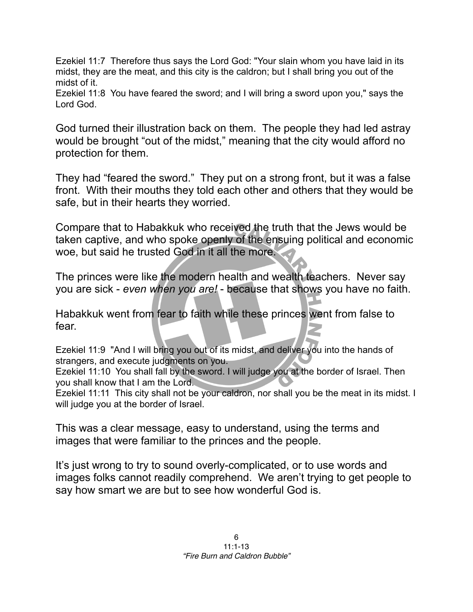Ezekiel 11:7 Therefore thus says the Lord God: "Your slain whom you have laid in its midst, they are the meat, and this city is the caldron; but I shall bring you out of the midst of it.

Ezekiel 11:8 You have feared the sword; and I will bring a sword upon you," says the Lord God.

God turned their illustration back on them. The people they had led astray would be brought "out of the midst," meaning that the city would afford no protection for them.

They had "feared the sword." They put on a strong front, but it was a false front. With their mouths they told each other and others that they would be safe, but in their hearts they worried.

Compare that to Habakkuk who received the truth that the Jews would be taken captive, and who spoke openly of the ensuing political and economic woe, but said he trusted God in it all the more.

The princes were like the modern health and wealth teachers. Never say you are sick - *even when you are!* - because that shows you have no faith.

Habakkuk went from fear to faith while these princes went from false to fear.

Ezekiel 11:9 "And I will bring you out of its midst, and deliver you into the hands of strangers, and execute judgments on you.

Ezekiel 11:10 You shall fall by the sword. I will judge you at the border of Israel. Then you shall know that I am the Lord.

Ezekiel 11:11 This city shall not be your caldron, nor shall you be the meat in its midst. I will judge you at the border of Israel.

This was a clear message, easy to understand, using the terms and images that were familiar to the princes and the people.

It's just wrong to try to sound overly-complicated, or to use words and images folks cannot readily comprehend. We aren't trying to get people to say how smart we are but to see how wonderful God is.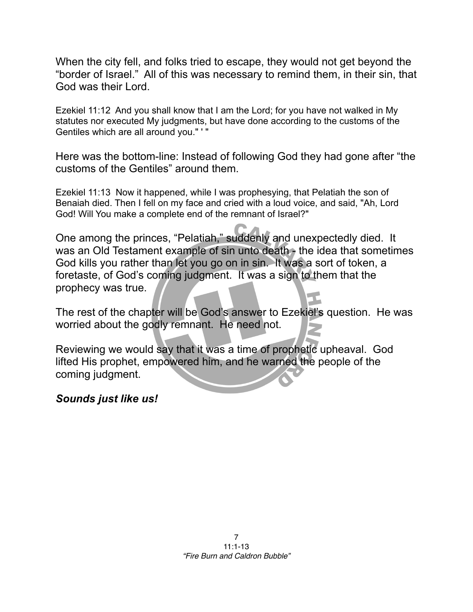When the city fell, and folks tried to escape, they would not get beyond the "border of Israel." All of this was necessary to remind them, in their sin, that God was their Lord.

Ezekiel 11:12 And you shall know that I am the Lord; for you have not walked in My statutes nor executed My judgments, but have done according to the customs of the Gentiles which are all around you." ' "

Here was the bottom-line: Instead of following God they had gone after "the customs of the Gentiles" around them.

Ezekiel 11:13 Now it happened, while I was prophesying, that Pelatiah the son of Benaiah died. Then I fell on my face and cried with a loud voice, and said, "Ah, Lord God! Will You make a complete end of the remnant of Israel?"

One among the princes, "Pelatiah," suddenly and unexpectedly died. It was an Old Testament example of sin unto death - the idea that sometimes God kills you rather than let you go on in sin. It was a sort of token, a foretaste, of God's coming judgment. It was a sign to them that the prophecy was true.

The rest of the chapter will be God's answer to Ezekiel's question. He was worried about the godly remnant. He need not.

Reviewing we would say that it was a time of prophetic upheaval. God lifted His prophet, empowered him, and he warned the people of the coming judgment.

## *Sounds just like us!*